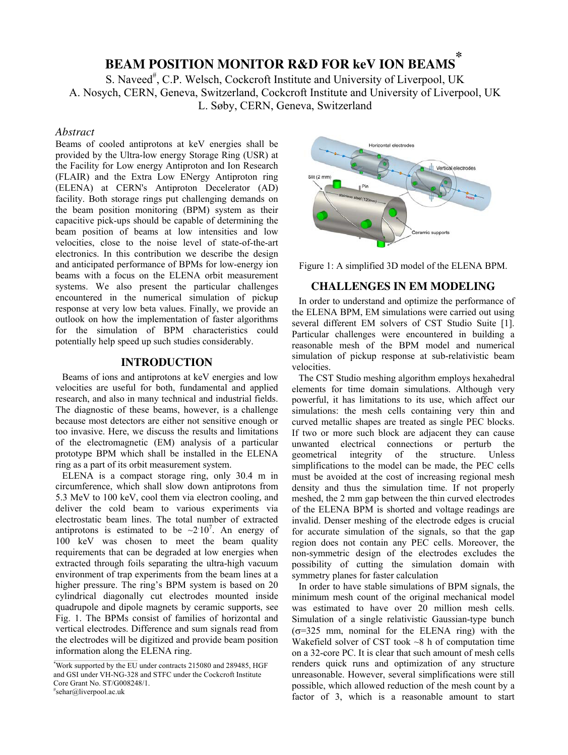# **BEAM POSITION MONITOR R&D FOR keV ION BEAMS \***

S. Naveed<sup>#</sup>, C.P. Welsch, Cockcroft Institute and University of Liverpool, UK A. Nosych, CERN, Geneva, Switzerland, Cockcroft Institute and University of Liverpool, UK L. Søby, CERN, Geneva, Switzerland

## *Abstract*

Beams of cooled antiprotons at keV energies shall be provided by the Ultra-low energy Storage Ring (USR) at the Facility for Low energy Antiproton and Ion Research (FLAIR) and the Extra Low ENergy Antiproton ring (ELENA) at CERN's Antiproton Decelerator (AD) facility. Both storage rings put challenging demands on the beam position monitoring (BPM) system as their capacitive pick-ups should be capable of determining the beam position of beams at low intensities and low velocities, close to the noise level of state-of-the-art electronics. In this contribution we describe the design and anticipated performance of BPMs for low-energy ion beams with a focus on the ELENA orbit measurement systems. We also present the particular challenges encountered in the numerical simulation of pickup response at very low beta values. Finally, we provide an outlook on how the implementation of faster algorithms for the simulation of BPM characteristics could potentially help speed up such studies considerably.

# **INTRODUCTION**

Beams of ions and antiprotons at keV energies and low velocities are useful for both, fundamental and applied research, and also in many technical and industrial fields. The diagnostic of these beams, however, is a challenge because most detectors are either not sensitive enough or too invasive. Here, we discuss the results and limitations of the electromagnetic (EM) analysis of a particular prototype BPM which shall be installed in the ELENA ring as a part of its orbit measurement system.

ELENA is a compact storage ring, only 30.4 m in circumference, which shall slow down antiprotons from 5.3 MeV to 100 keV, cool them via electron cooling, and deliver the cold beam to various experiments via electrostatic beam lines. The total number of extracted antiprotons is estimated to be  $\sim 210^7$ . An energy of 100 keV was chosen to meet the beam quality requirements that can be degraded at low energies when extracted through foils separating the ultra-high vacuum environment of trap experiments from the beam lines at a higher pressure. The ring's BPM system is based on 20 cylindrical diagonally cut electrodes mounted inside quadrupole and dipole magnets by ceramic supports, see Fig. 1. The BPMs consist of families of horizontal and vertical electrodes. Difference and sum signals read from the electrodes will be digitized and provide beam position information along the ELENA ring.

Horizontal electrodes Vertical electrodes Slit (2 mm) tic supports



#### **CHALLENGES IN EM MODELING**

In order to understand and optimize the performance of the ELENA BPM, EM simulations were carried out using several different EM solvers of CST Studio Suite [1]. Particular challenges were encountered in building a reasonable mesh of the BPM model and numerical simulation of pickup response at sub-relativistic beam velocities.

The CST Studio meshing algorithm employs hexahedral elements for time domain simulations. Although very powerful, it has limitations to its use, which affect our simulations: the mesh cells containing very thin and curved metallic shapes are treated as single PEC blocks. If two or more such block are adjacent they can cause unwanted electrical connections or perturb the geometrical integrity of the structure. Unless simplifications to the model can be made, the PEC cells must be avoided at the cost of increasing regional mesh density and thus the simulation time. If not properly meshed, the 2 mm gap between the thin curved electrodes of the ELENA BPM is shorted and voltage readings are invalid. Denser meshing of the electrode edges is crucial for accurate simulation of the signals, so that the gap region does not contain any PEC cells. Moreover, the non-symmetric design of the electrodes excludes the possibility of cutting the simulation domain with symmetry planes for faster calculation

In order to have stable simulations of BPM signals, the minimum mesh count of the original mechanical model was estimated to have over 20 million mesh cells. Simulation of a single relativistic Gaussian-type bunch  $(\sigma=325 \text{ mm}, \text{nominal}$  for the ELENA ring) with the Wakefield solver of CST took  $\sim$ 8 h of computation time on a 32-core PC. It is clear that such amount of mesh cells renders quick runs and optimization of any structure unreasonable. However, several simplifications were still possible, which allowed reduction of the mesh count by a factor of 3, which is a reasonable amount to start

 $*$ Work supported by the EU under contracts 215080 and 289485, HGF and GSI under VH-NG-328 and STFC under the Cockcroft Institute Core Grant No. ST/G008248/1. # sehar@liverpool.ac.uk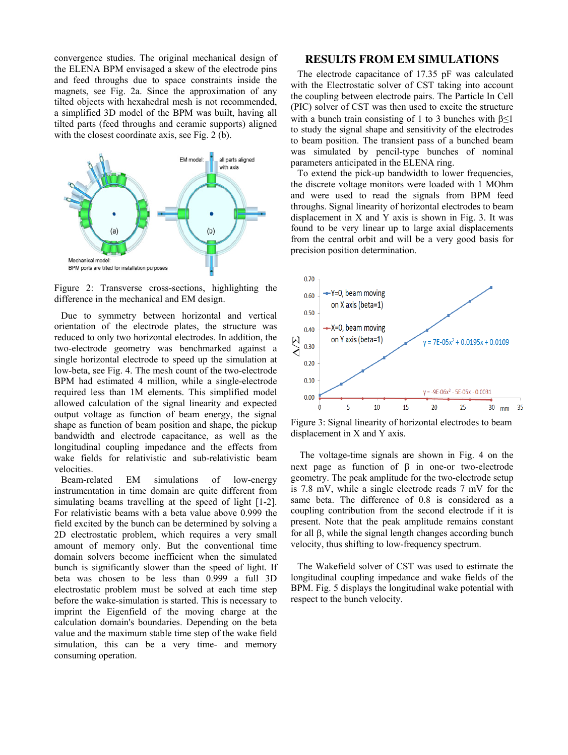convergence studies. The original mechanical design of the ELENA BPM envisaged a skew of the electrode pins and feed throughs due to space constraints inside the magnets, see Fig. 2a. Since the approximation of any tilted objects with hexahedral mesh is not recommended, a simplified 3D model of the BPM was built, having all tilted parts (feed throughs and ceramic supports) aligned with the closest coordinate axis, see Fig. 2 (b).



Figure 2: Transverse cross-sections, highlighting the difference in the mechanical and EM design.

Due to symmetry between horizontal and vertical orientation of the electrode plates, the structure was reduced to only two horizontal electrodes. In addition, the two-electrode geometry was benchmarked against a single horizontal electrode to speed up the simulation at low-beta, see Fig. 4. The mesh count of the two-electrode BPM had estimated 4 million, while a single-electrode required less than 1M elements. This simplified model allowed calculation of the signal linearity and expected output voltage as function of beam energy, the signal shape as function of beam position and shape, the pickup bandwidth and electrode capacitance, as well as the longitudinal coupling impedance and the effects from wake fields for relativistic and sub-relativistic beam velocities.

Beam-related EM simulations of low-energy instrumentation in time domain are quite different from simulating beams travelling at the speed of light [1-2]. For relativistic beams with a beta value above 0.999 the field excited by the bunch can be determined by solving a 2D electrostatic problem, which requires a very small amount of memory only. But the conventional time domain solvers become inefficient when the simulated bunch is significantly slower than the speed of light. If beta was chosen to be less than 0.999 a full 3D electrostatic problem must be solved at each time step before the wake-simulation is started. This is necessary to imprint the Eigenfield of the moving charge at the calculation domain's boundaries. Depending on the beta value and the maximum stable time step of the wake field simulation, this can be a very time- and memory consuming operation.

# **RESULTS FROM EM SIMULATIONS**

The electrode capacitance of 17.35 pF was calculated with the Electrostatic solver of CST taking into account the coupling between electrode pairs. The Particle In Cell (PIC) solver of CST was then used to excite the structure with a bunch train consisting of 1 to 3 bunches with  $\beta \leq 1$ to study the signal shape and sensitivity of the electrodes to beam position. The transient pass of a bunched beam was simulated by pencil-type bunches of nominal parameters anticipated in the ELENA ring.

To extend the pick-up bandwidth to lower frequencies, the discrete voltage monitors were loaded with 1 MOhm and were used to read the signals from BPM feed throughs. Signal linearity of horizontal electrodes to beam displacement in X and Y axis is shown in Fig. 3. It was found to be very linear up to large axial displacements from the central orbit and will be a very good basis for precision position determination.



Figure 3: Signal linearity of horizontal electrodes to beam displacement in X and Y axis.

The voltage-time signals are shown in Fig. 4 on the next page as function of  $\beta$  in one-or two-electrode geometry. The peak amplitude for the two-electrode setup is 7.8 mV, while a single electrode reads 7 mV for the same beta. The difference of 0.8 is considered as a coupling contribution from the second electrode if it is present. Note that the peak amplitude remains constant for all  $\beta$ , while the signal length changes according bunch velocity, thus shifting to low-frequency spectrum.

The Wakefield solver of CST was used to estimate the longitudinal coupling impedance and wake fields of the BPM. Fig. 5 displays the longitudinal wake potential with respect to the bunch velocity.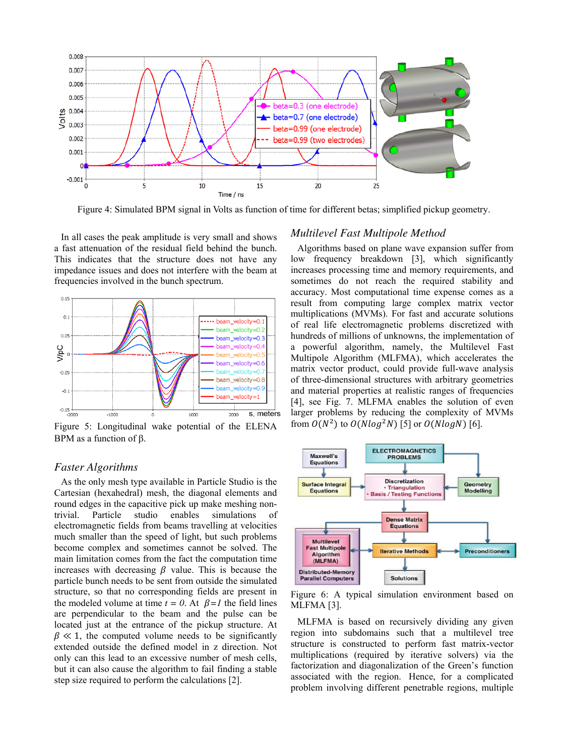

Figure 4: Simulated BPM signal in Volts as function of time for different betas; simplified pickup geometry.

In all cases the peak amplitude is very small and shows a fast attenuation of the residual field behind the bunch. This indicates that the structure does not have any impedance issues and does not interfere with the beam at frequencies involved in the bunch spectrum.



Figure 5: Longitudinal wake potential of the ELENA BPM as a function of  $\beta$ .

#### *Faster Algorithms*

As the only mesh type available in Particle Studio is the Cartesian (hexahedral) mesh, the diagonal elements and round edges in the capacitive pick up make meshing nontrivial. Particle studio enables simulations of electromagnetic fields from beams travelling at velocities much smaller than the speed of light, but such problems become complex and sometimes cannot be solved. The main limitation comes from the fact the computation time increases with decreasing  $\beta$  value. This is because the particle bunch needs to be sent from outside the simulated structure, so that no corresponding fields are present in the modeled volume at time  $t = 0$ . At  $\beta = I$  the field lines are perpendicular to the beam and the pulse can be located just at the entrance of the pickup structure. At  $\beta \ll 1$ , the computed volume needs to be significantly extended outside the defined model in z direction. Not only can this lead to an excessive number of mesh cells, but it can also cause the algorithm to fail finding a stable step size required to perform the calculations [2].

#### *Multilevel Fast Multipole Method*

Algorithms based on plane wave expansion suffer from low frequency breakdown [3], which significantly increases processing time and memory requirements, and sometimes do not reach the required stability and accuracy. Most computational time expense comes as a result from computing large complex matrix vector multiplications (MVMs). For fast and accurate solutions of real life electromagnetic problems discretized with hundreds of millions of unknowns, the implementation of a powerful algorithm, namely, the Multilevel Fast Multipole Algorithm (MLFMA), which accelerates the matrix vector product, could provide full-wave analysis of three-dimensional structures with arbitrary geometries and material properties at realistic ranges of frequencies [4], see Fig. 7. MLFMA enables the solution of even larger problems by reducing the complexity of MVMs from  $O(N^2)$  to  $O(Nlog^2N)$  [5] or  $O(NlogN)$  [6].



Figure 6: A typical simulation environment based on MLFMA [3].

MLFMA is based on recursively dividing any given region into subdomains such that a multilevel tree structure is constructed to perform fast matrix-vector multiplications (required by iterative solvers) via the factorization and diagonalization of the Green's function associated with the region. Hence, for a complicated problem involving different penetrable regions, multiple